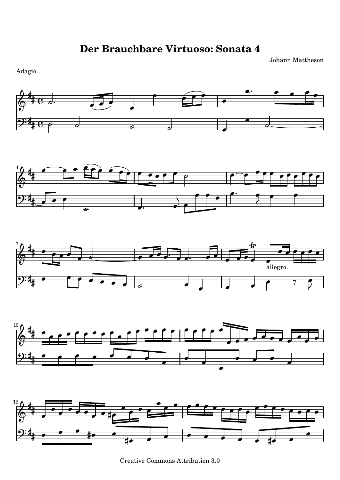Johann Mattheson

Adagio.



Creative Commons Attribution 3.0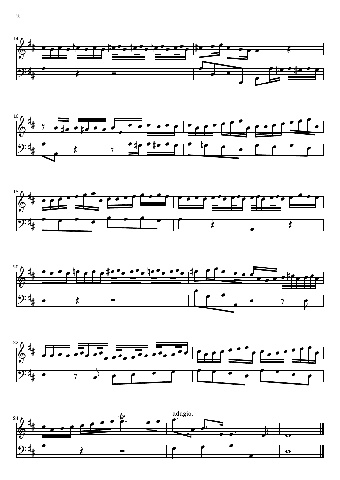









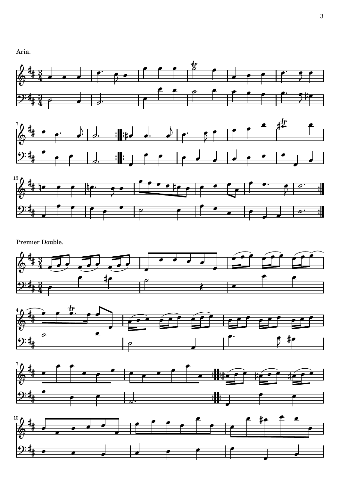Aria.







Premier Double.







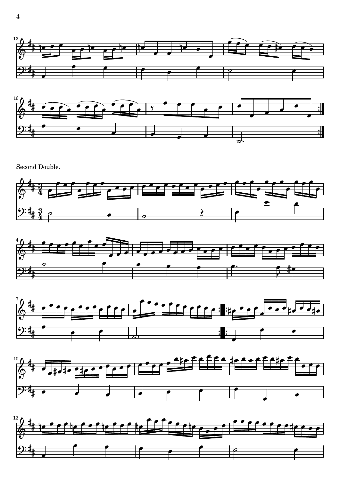



Second Double.









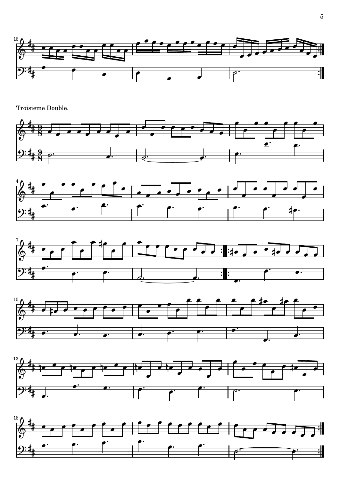

**Troisieme Double.**